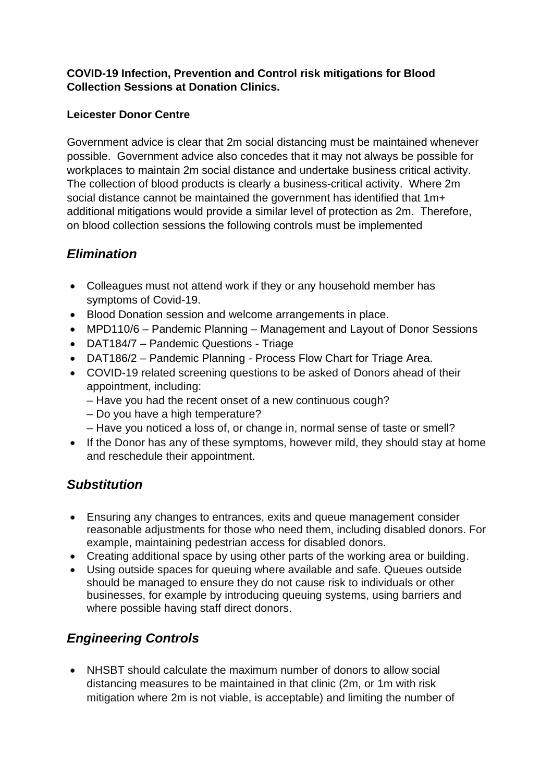### **COVID-19 Infection, Prevention and Control risk mitigations for Blood Collection Sessions at Donation Clinics.**

### **Leicester Donor Centre**

Government advice is clear that 2m social distancing must be maintained whenever possible. Government advice also concedes that it may not always be possible for workplaces to maintain 2m social distance and undertake business critical activity. The collection of blood products is clearly a business-critical activity. Where 2m social distance cannot be maintained the government has identified that 1m+ additional mitigations would provide a similar level of protection as 2m. Therefore, on blood collection sessions the following controls must be implemented

# *Elimination*

- Colleagues must not attend work if they or any household member has symptoms of Covid-19.
- Blood Donation session and welcome arrangements in place.
- MPD110/6 Pandemic Planning Management and Layout of Donor Sessions
- DAT184/7 Pandemic Questions Triage
- DAT186/2 Pandemic Planning Process Flow Chart for Triage Area.
- COVID-19 related screening questions to be asked of Donors ahead of their appointment, including:
	- Have you had the recent onset of a new continuous cough?
	- Do you have a high temperature?
	- Have you noticed a loss of, or change in, normal sense of taste or smell?
- If the Donor has any of these symptoms, however mild, they should stay at home and reschedule their appointment.

## *Substitution*

- Ensuring any changes to entrances, exits and queue management consider reasonable adjustments for those who need them, including disabled donors. For example, maintaining pedestrian access for disabled donors.
- Creating additional space by using other parts of the working area or building.
- Using outside spaces for queuing where available and safe. Queues outside should be managed to ensure they do not cause risk to individuals or other businesses, for example by introducing queuing systems, using barriers and where possible having staff direct donors.

# *Engineering Controls*

• NHSBT should calculate the maximum number of donors to allow social distancing measures to be maintained in that clinic (2m, or 1m with risk mitigation where 2m is not viable, is acceptable) and limiting the number of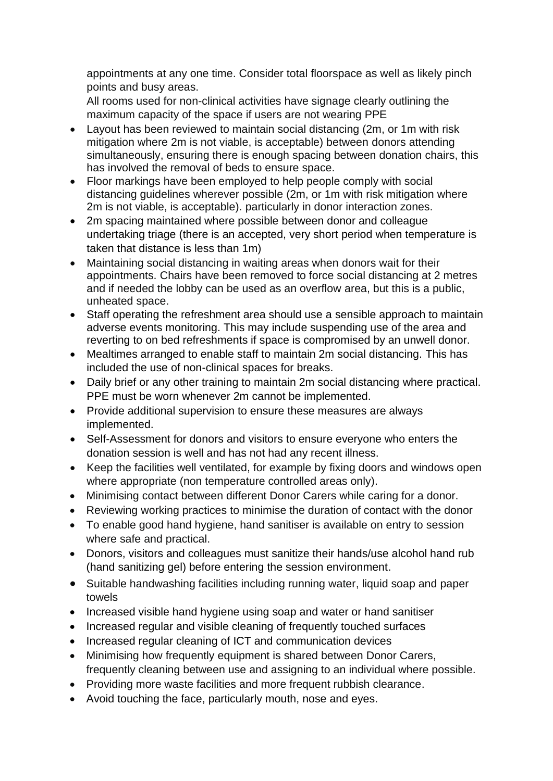appointments at any one time. Consider total floorspace as well as likely pinch points and busy areas.

All rooms used for non-clinical activities have signage clearly outlining the maximum capacity of the space if users are not wearing PPE

- Layout has been reviewed to maintain social distancing (2m, or 1m with risk mitigation where 2m is not viable, is acceptable) between donors attending simultaneously, ensuring there is enough spacing between donation chairs, this has involved the removal of beds to ensure space.
- Floor markings have been employed to help people comply with social distancing guidelines wherever possible (2m, or 1m with risk mitigation where 2m is not viable, is acceptable). particularly in donor interaction zones.
- 2m spacing maintained where possible between donor and colleague undertaking triage (there is an accepted, very short period when temperature is taken that distance is less than 1m)
- Maintaining social distancing in waiting areas when donors wait for their appointments. Chairs have been removed to force social distancing at 2 metres and if needed the lobby can be used as an overflow area, but this is a public, unheated space.
- Staff operating the refreshment area should use a sensible approach to maintain adverse events monitoring. This may include suspending use of the area and reverting to on bed refreshments if space is compromised by an unwell donor.
- Mealtimes arranged to enable staff to maintain 2m social distancing. This has included the use of non-clinical spaces for breaks.
- Daily brief or any other training to maintain 2m social distancing where practical. PPE must be worn whenever 2m cannot be implemented.
- Provide additional supervision to ensure these measures are always implemented.
- Self-Assessment for donors and visitors to ensure everyone who enters the donation session is well and has not had any recent illness.
- Keep the facilities well ventilated, for example by fixing doors and windows open where appropriate (non temperature controlled areas only).
- Minimising contact between different Donor Carers while caring for a donor.
- Reviewing working practices to minimise the duration of contact with the donor
- To enable good hand hygiene, hand sanitiser is available on entry to session where safe and practical.
- Donors, visitors and colleagues must sanitize their hands/use alcohol hand rub (hand sanitizing gel) before entering the session environment.
- Suitable handwashing facilities including running water, liquid soap and paper towels
- Increased visible hand hygiene using soap and water or hand sanitiser
- Increased regular and visible cleaning of frequently touched surfaces
- Increased regular cleaning of ICT and communication devices
- Minimising how frequently equipment is shared between Donor Carers, frequently cleaning between use and assigning to an individual where possible.
- Providing more waste facilities and more frequent rubbish clearance.
- Avoid touching the face, particularly mouth, nose and eyes.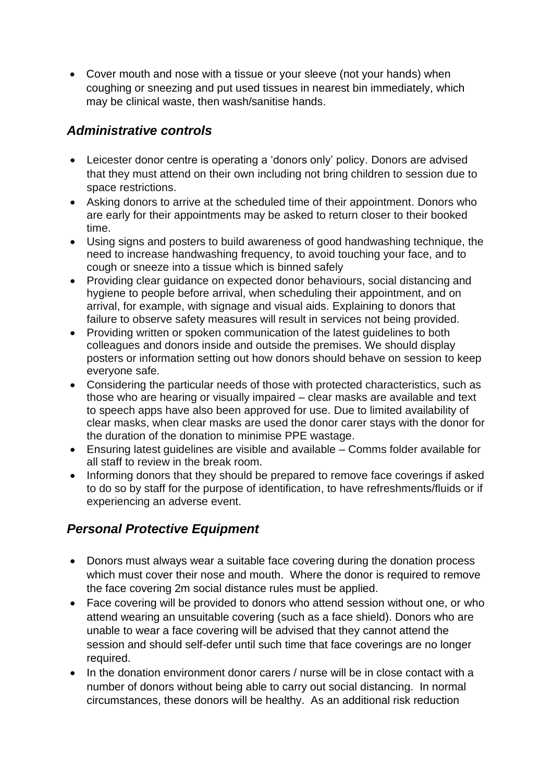• Cover mouth and nose with a tissue or your sleeve (not your hands) when coughing or sneezing and put used tissues in nearest bin immediately, which may be clinical waste, then wash/sanitise hands.

# *Administrative controls*

- Leicester donor centre is operating a 'donors only' policy. Donors are advised that they must attend on their own including not bring children to session due to space restrictions.
- Asking donors to arrive at the scheduled time of their appointment. Donors who are early for their appointments may be asked to return closer to their booked time.
- Using signs and posters to build awareness of good handwashing technique, the need to increase handwashing frequency, to avoid touching your face, and to cough or sneeze into a tissue which is binned safely
- Providing clear guidance on expected donor behaviours, social distancing and hygiene to people before arrival, when scheduling their appointment, and on arrival, for example, with signage and visual aids. Explaining to donors that failure to observe safety measures will result in services not being provided.
- Providing written or spoken communication of the latest guidelines to both colleagues and donors inside and outside the premises. We should display posters or information setting out how donors should behave on session to keep everyone safe.
- Considering the particular needs of those with protected characteristics, such as those who are hearing or visually impaired – clear masks are available and text to speech apps have also been approved for use. Due to limited availability of clear masks, when clear masks are used the donor carer stays with the donor for the duration of the donation to minimise PPE wastage.
- Ensuring latest guidelines are visible and available Comms folder available for all staff to review in the break room.
- Informing donors that they should be prepared to remove face coverings if asked to do so by staff for the purpose of identification, to have refreshments/fluids or if experiencing an adverse event.

# *Personal Protective Equipment*

- Donors must always wear a suitable face covering during the donation process which must cover their nose and mouth. Where the donor is required to remove the face covering 2m social distance rules must be applied.
- Face covering will be provided to donors who attend session without one, or who attend wearing an unsuitable covering (such as a face shield). Donors who are unable to wear a face covering will be advised that they cannot attend the session and should self-defer until such time that face coverings are no longer required.
- In the donation environment donor carers / nurse will be in close contact with a number of donors without being able to carry out social distancing. In normal circumstances, these donors will be healthy. As an additional risk reduction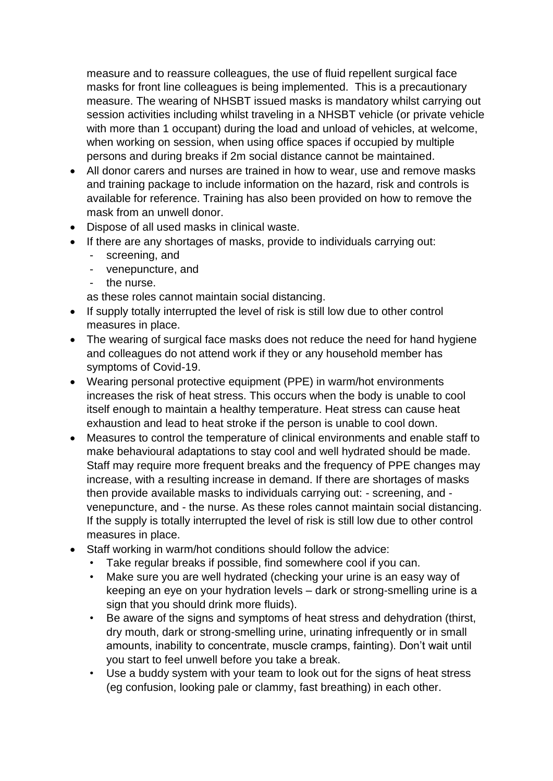measure and to reassure colleagues, the use of fluid repellent surgical face masks for front line colleagues is being implemented. This is a precautionary measure. The wearing of NHSBT issued masks is mandatory whilst carrying out session activities including whilst traveling in a NHSBT vehicle (or private vehicle with more than 1 occupant) during the load and unload of vehicles, at welcome, when working on session, when using office spaces if occupied by multiple persons and during breaks if 2m social distance cannot be maintained.

- All donor carers and nurses are trained in how to wear, use and remove masks and training package to include information on the hazard, risk and controls is available for reference. Training has also been provided on how to remove the mask from an unwell donor.
- Dispose of all used masks in clinical waste.
- If there are any shortages of masks, provide to individuals carrying out:
	- screening, and
	- venepuncture, and
	- the nurse.

as these roles cannot maintain social distancing.

- If supply totally interrupted the level of risk is still low due to other control measures in place.
- The wearing of surgical face masks does not reduce the need for hand hygiene and colleagues do not attend work if they or any household member has symptoms of Covid-19.
- Wearing personal protective equipment (PPE) in warm/hot environments increases the risk of heat stress. This occurs when the body is unable to cool itself enough to maintain a healthy temperature. Heat stress can cause heat exhaustion and lead to heat stroke if the person is unable to cool down.
- Measures to control the temperature of clinical environments and enable staff to make behavioural adaptations to stay cool and well hydrated should be made. Staff may require more frequent breaks and the frequency of PPE changes may increase, with a resulting increase in demand. If there are shortages of masks then provide available masks to individuals carrying out: - screening, and venepuncture, and - the nurse. As these roles cannot maintain social distancing. If the supply is totally interrupted the level of risk is still low due to other control measures in place.
- Staff working in warm/hot conditions should follow the advice:
	- Take regular breaks if possible, find somewhere cool if you can.
	- Make sure you are well hydrated (checking your urine is an easy way of keeping an eye on your hydration levels – dark or strong-smelling urine is a sign that you should drink more fluids).
	- Be aware of the signs and symptoms of heat stress and dehydration (thirst, dry mouth, dark or strong-smelling urine, urinating infrequently or in small amounts, inability to concentrate, muscle cramps, fainting). Don't wait until you start to feel unwell before you take a break.
	- Use a buddy system with your team to look out for the signs of heat stress (eg confusion, looking pale or clammy, fast breathing) in each other.